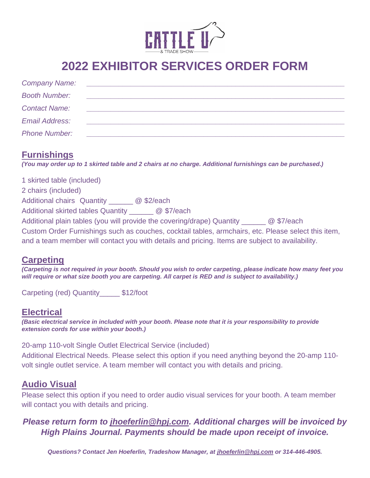

## **2022 EXHIBITOR SERVICES ORDER FORM**

| <b>Company Name:</b> |  |
|----------------------|--|
| <b>Booth Number:</b> |  |
| <b>Contact Name:</b> |  |
| Email Address:       |  |
| <b>Phone Number:</b> |  |

### **Furnishings**

*(You may order up to 1 skirted table and 2 chairs at no charge. Additional furnishings can be purchased.)*

1 skirted table (included) 2 chairs (included) Additional chairs Quantity \_\_\_\_\_\_ @ \$2/each Additional skirted tables Quantity @ \$7/each Additional plain tables (you will provide the covering/drape) Quantity \_\_\_\_\_\_\_ @ \$7/each Custom Order Furnishings such as couches, cocktail tables, armchairs, etc. Please select this item, and a team member will contact you with details and pricing. Items are subject to availability.

#### **Carpeting**

*(Carpeting is not required in your booth. Should you wish to order carpeting, please indicate how many feet you will require or what size booth you are carpeting. All carpet is RED and is subject to availability.)*

Carpeting (red) Quantity\_\_\_\_\_ \$12/foot

### **Electrical**

*(Basic electrical service in included with your booth. Please note that it is your responsibility to provide extension cords for use within your booth.)*

20-amp 110-volt Single Outlet Electrical Service (included) Additional Electrical Needs. Please select this option if you need anything beyond the 20-amp 110 volt single outlet service. A team member will contact you with details and pricing.

### **Audio Visual**

Please select this option if you need to order audio visual services for your booth. A team member will contact you with details and pricing.

#### *Please return form to [jhoeferlin@hpj.com.](mailto:jhoeferlin@hpj.com) Additional charges will be invoiced by High Plains Journal. Payments should be made upon receipt of invoice.*

*Questions? Contact Jen Hoeferlin, Tradeshow Manager, at [jhoeferlin@hpj.com](mailto:jhoeferlin@hpj.com) or 314-446-4905.*